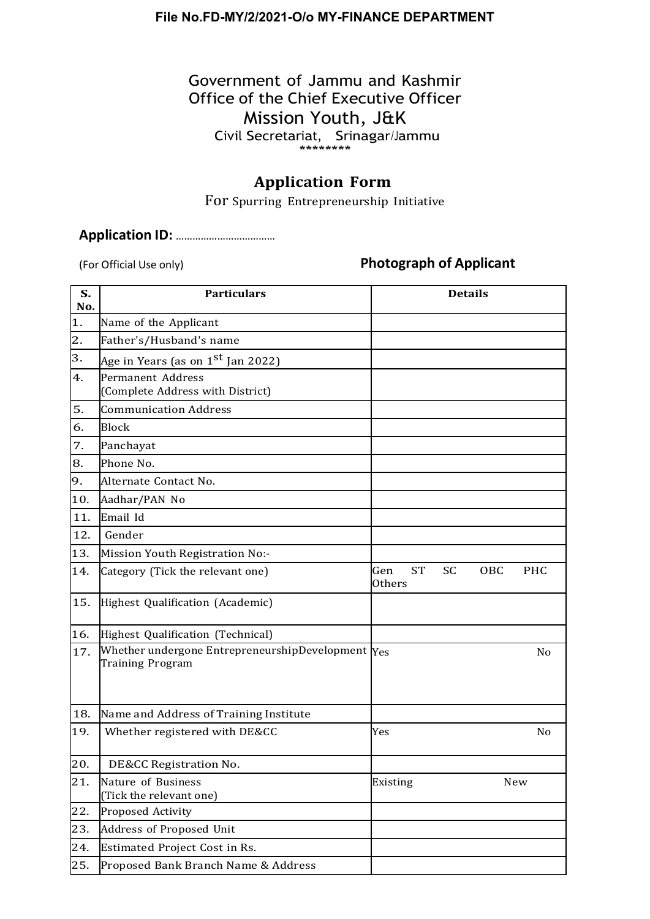#### **File No.FD-MY/2/2021-O/o MY-FINANCE DEPARTMENT**

#### Government of Jammu and Kashmir Office of the Chief Executive Officer Mission Youth, J&K Civil Secretariat, Srinagar/Jammu \*\*\*\*\*\*\*\*

#### **Application Form**

For Spurring Entrepreneurship Initiative

#### **Application ID: .................................**

#### (For Official Use only) **Photograph of Applicant**

| S.<br>No. | <b>Particulars</b>                                                           | <b>Details</b>                                               |  |
|-----------|------------------------------------------------------------------------------|--------------------------------------------------------------|--|
| 1.        | Name of the Applicant                                                        |                                                              |  |
| 2.        | Father's/Husband's name                                                      |                                                              |  |
| 3.        | Age in Years (as on 1 <sup>st</sup> Jan 2022)                                |                                                              |  |
| 4.        | <b>Permanent Address</b><br>(Complete Address with District)                 |                                                              |  |
| 5.        | <b>Communication Address</b>                                                 |                                                              |  |
| 6.        | <b>Block</b>                                                                 |                                                              |  |
| 7.        | Panchayat                                                                    |                                                              |  |
| 8.        | Phone No.                                                                    |                                                              |  |
| 9.        | Alternate Contact No.                                                        |                                                              |  |
| 10.       | Aadhar/PAN No                                                                |                                                              |  |
| 11.       | Email Id                                                                     |                                                              |  |
| 12.       | Gender                                                                       |                                                              |  |
| 13.       | Mission Youth Registration No:-                                              |                                                              |  |
| 14.       | Category (Tick the relevant one)                                             | <b>ST</b><br><b>SC</b><br>PHC<br>Gen<br>OBC<br><b>Others</b> |  |
| 15.       | Highest Qualification (Academic)                                             |                                                              |  |
| 16.       | Highest Qualification (Technical)                                            |                                                              |  |
| 17.       | Whether undergone EntrepreneurshipDevelopment Yes<br><b>Training Program</b> | No                                                           |  |
| 18.       | Name and Address of Training Institute                                       |                                                              |  |
| 19.       | Whether registered with DE&CC                                                | Yes<br>No                                                    |  |
| 20.       | DE&CC Registration No.                                                       |                                                              |  |
| 21.       | Nature of Business<br>(Tick the relevant one)                                | New<br><b>Existing</b>                                       |  |
| 22.       | Proposed Activity                                                            |                                                              |  |
| 23.       | Address of Proposed Unit                                                     |                                                              |  |
| 24.       | <b>Estimated Project Cost in Rs.</b>                                         |                                                              |  |
| 25.       | Proposed Bank Branch Name & Address                                          |                                                              |  |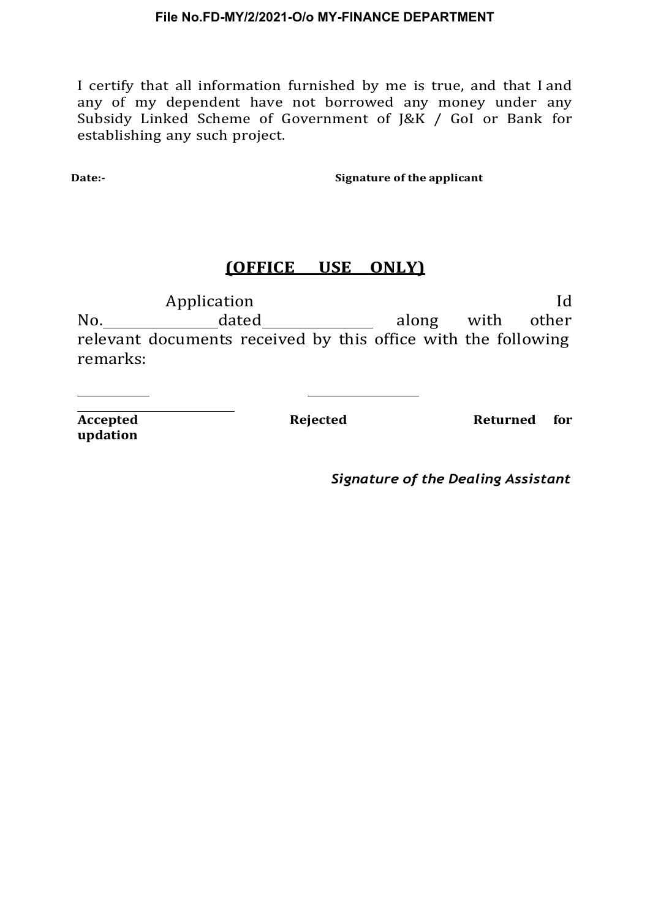I certify that all information furnished by me is true, and that I and any of my dependent have not borrowed any money under any Subsidy Linked Scheme of Government of J&K / GoI or Bank for establishing any such project.

**Date:-** Signature of the applicant

#### **(OFFICE USE ONLY)**

Application and Identifiable and Identifiable and Identifiable and Identifiable and Identifiable and Identifia No. dated along with other relevant documents received by this office with the following remarks:

**updation**

**Accepted Rejected Returned for**

*Signature of the Dealing Assistant*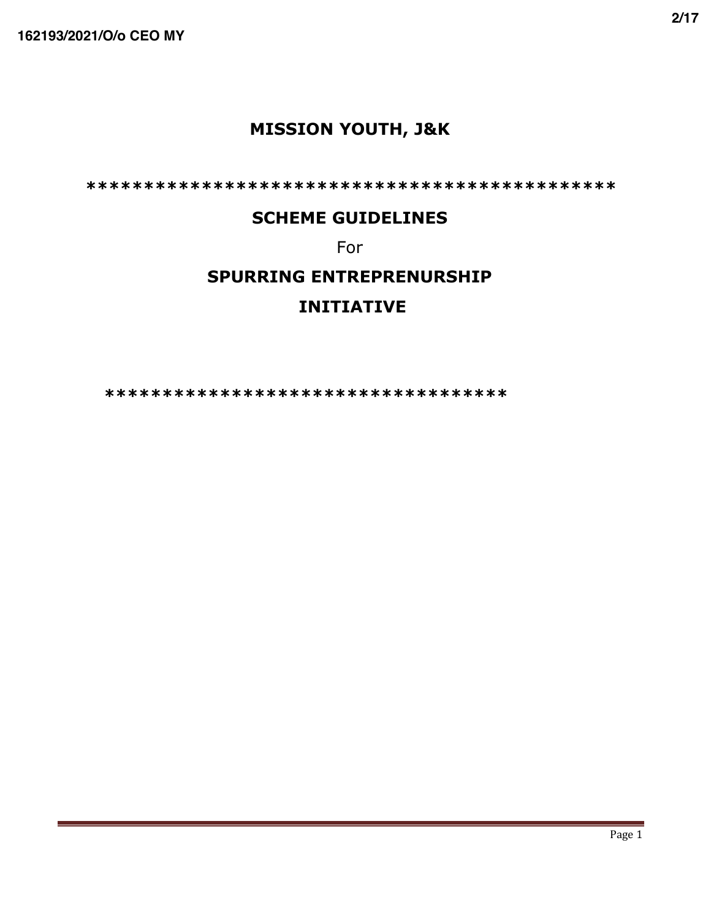# **MISSION YOUTH, J&K**

**\*\*\*\*\*\*\*\*\*\*\*\*\*\*\*\*\*\*\*\*\*\*\*\*\*\*\*\*\*\*\*\*\*\*\*\*\*\*\*\*\*\*\*\*\*\***

#### **SCHEME GUIDELINES**

For

# **SPURRING ENTREPRENURSHIP INITIATIVE**

 **\*\*\*\*\*\*\*\*\*\*\*\*\*\*\*\*\*\*\*\*\*\*\*\*\*\*\*\*\*\*\*\*\*\*\***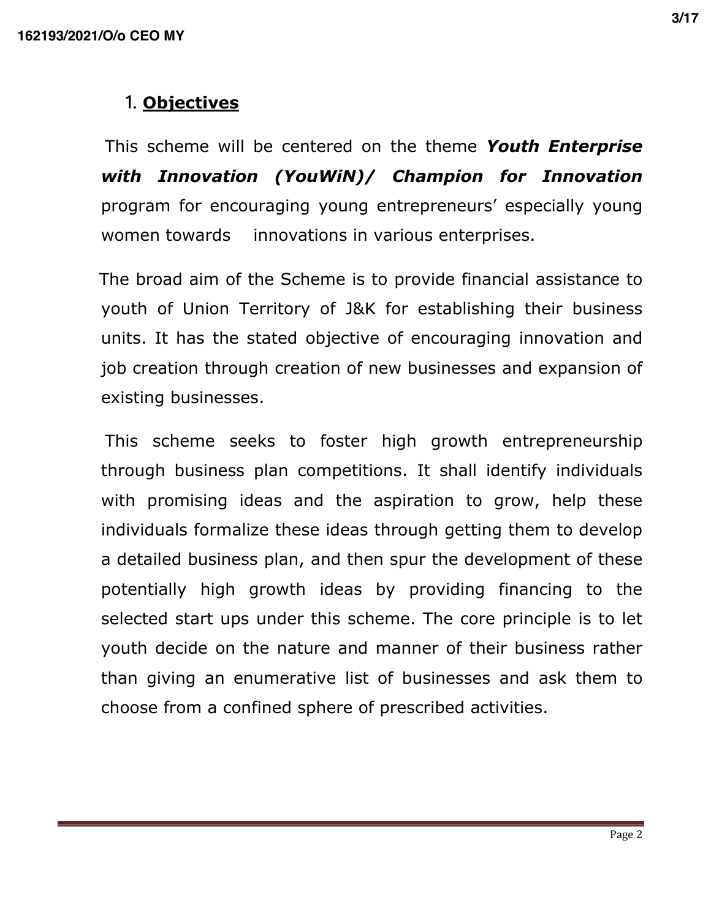# **1. Objectives**

 This scheme will be centered on the theme *Youth Enterprise with Innovation (YouWiN)/ Champion for Innovation*  program for encouraging young entrepreneurs' especially young women towards innovations in various enterprises.

 The broad aim of the Scheme is to provide financial assistance to youth of Union Territory of J&K for establishing their business units. It has the stated objective of encouraging innovation and job creation through creation of new businesses and expansion of existing businesses.

 This scheme seeks to foster high growth entrepreneurship through business plan competitions. It shall identify individuals with promising ideas and the aspiration to grow, help these individuals formalize these ideas through getting them to develop a detailed business plan, and then spur the development of these potentially high growth ideas by providing financing to the selected start ups under this scheme. The core principle is to let youth decide on the nature and manner of their business rather than giving an enumerative list of businesses and ask them to choose from a confined sphere of prescribed activities.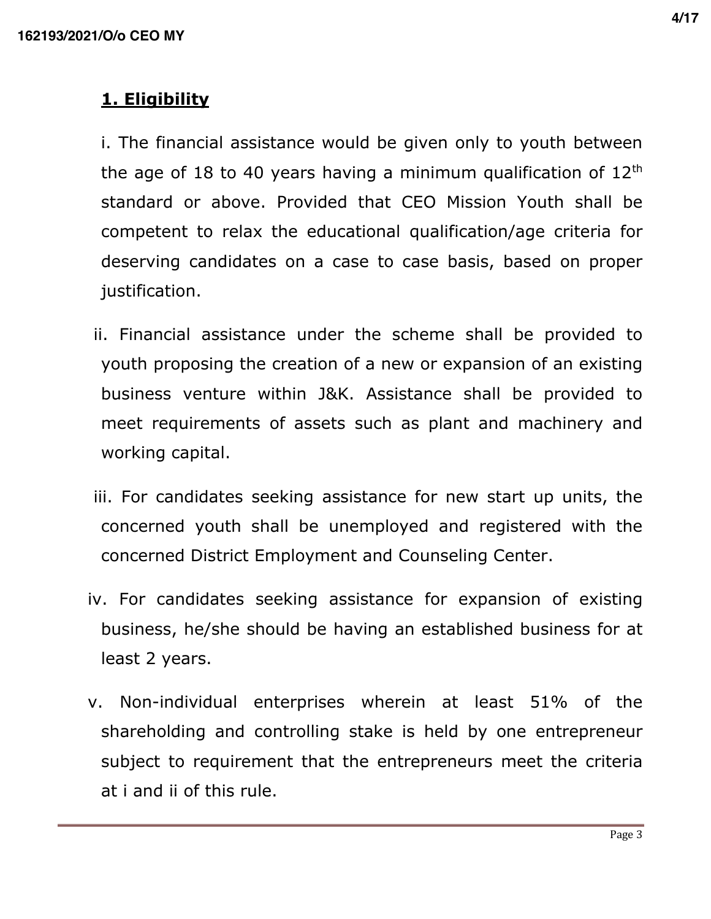# **1. Eligibility**

i. The financial assistance would be given only to youth between the age of 18 to 40 years having a minimum qualification of  $12<sup>th</sup>$ standard or above. Provided that CEO Mission Youth shall be competent to relax the educational qualification/age criteria for deserving candidates on a case to case basis, based on proper justification.

- ii. Financial assistance under the scheme shall be provided to youth proposing the creation of a new or expansion of an existing business venture within J&K. Assistance shall be provided to meet requirements of assets such as plant and machinery and working capital.
- iii. For candidates seeking assistance for new start up units, the concerned youth shall be unemployed and registered with the concerned District Employment and Counseling Center.
- iv. For candidates seeking assistance for expansion of existing business, he/she should be having an established business for at least 2 years.
- v. Non-individual enterprises wherein at least 51% of the shareholding and controlling stake is held by one entrepreneur subject to requirement that the entrepreneurs meet the criteria at i and ii of this rule.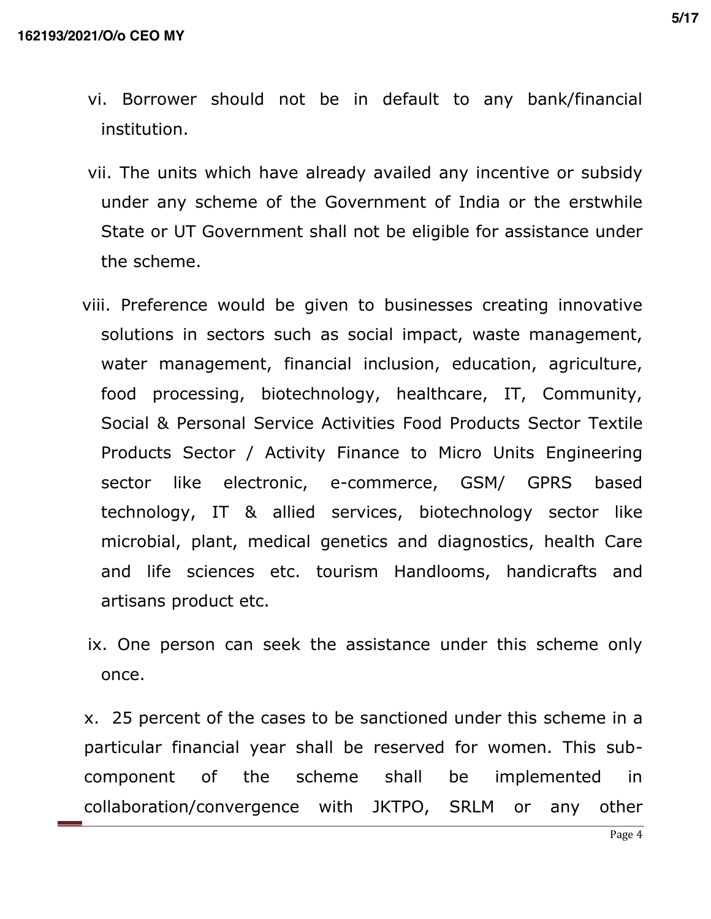- vi. Borrower should not be in default to any bank/financial institution.
- vii. The units which have already availed any incentive or subsidy under any scheme of the Government of India or the erstwhile State or UT Government shall not be eligible for assistance under the scheme.
- viii. Preference would be given to businesses creating innovative solutions in sectors such as social impact, waste management, water management, financial inclusion, education, agriculture, food processing, biotechnology, healthcare, IT, Community, Social & Personal Service Activities Food Products Sector Textile Products Sector / Activity Finance to Micro Units Engineering sector like electronic, e-commerce, GSM/ GPRS based technology, IT & allied services, biotechnology sector like microbial, plant, medical genetics and diagnostics, health Care and life sciences etc. tourism Handlooms, handicrafts and artisans product etc.
- ix. One person can seek the assistance under this scheme only once.

x. 25 percent of the cases to be sanctioned under this scheme in a particular financial year shall be reserved for women. This subcomponent of the scheme shall be implemented in collaboration/convergence with JKTPO, SRLM or any other

Page 4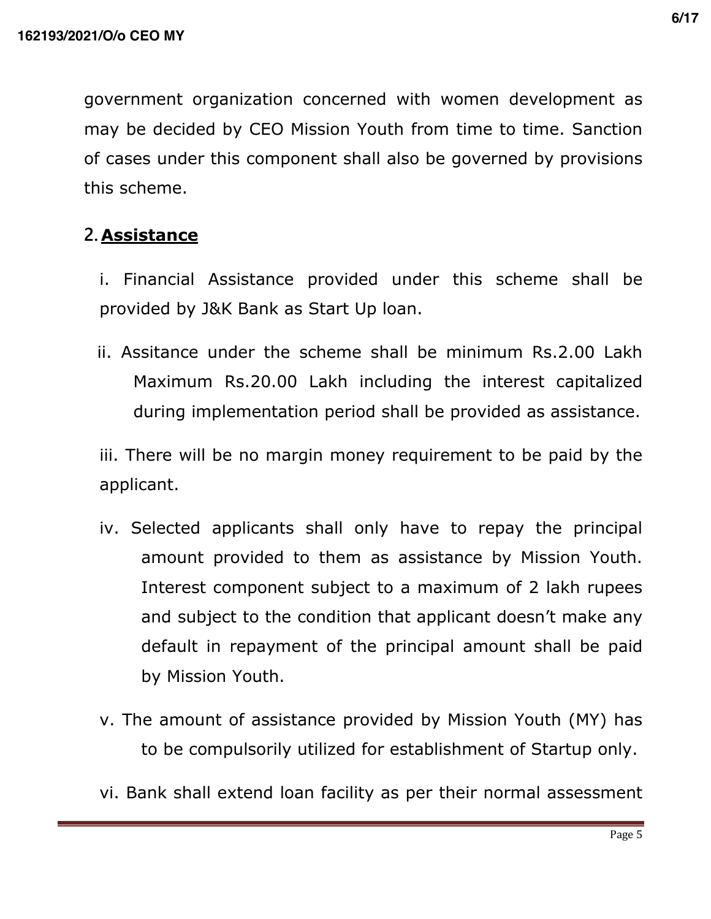government organization concerned with women development as may be decided by CEO Mission Youth from time to time. Sanction of cases under this component shall also be governed by provisions this scheme.

# **2. Assistance**

- i. Financial Assistance provided under this scheme shall be provided by J&K Bank as Start Up loan.
- ii. Assitance under the scheme shall be minimum Rs.2.00 Lakh Maximum Rs.20.00 Lakh including the interest capitalized during implementation period shall be provided as assistance.

iii. There will be no margin money requirement to be paid by the applicant.

- iv. Selected applicants shall only have to repay the principal amount provided to them as assistance by Mission Youth. Interest component subject to a maximum of 2 lakh rupees and subject to the condition that applicant doesn't make any default in repayment of the principal amount shall be paid by Mission Youth.
- v. The amount of assistance provided by Mission Youth (MY) has to be compulsorily utilized for establishment of Startup only.
- vi. Bank shall extend loan facility as per their normal assessment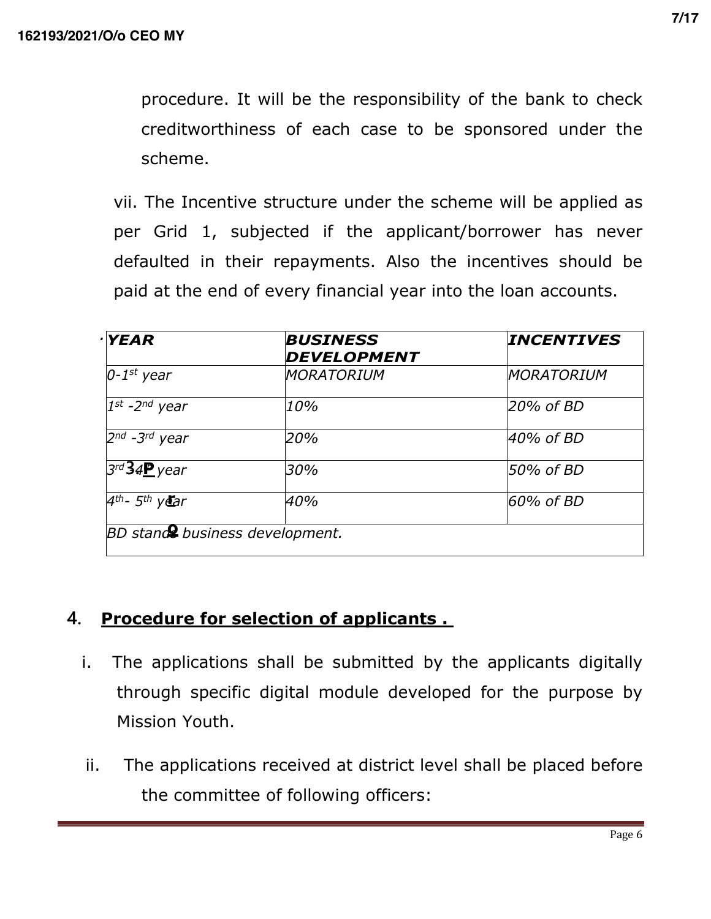procedure. It will be the responsibility of the bank to check creditworthiness of each case to be sponsored under the scheme.

vii. The Incentive structure under the scheme will be applied as per Grid 1, subjected if the applicant/borrower has never defaulted in their repayments. Also the incentives should be paid at the end of every financial year into the loan accounts.

| $\cdot$ YEAR                          | <b>BUSINESS</b><br><b>DEVELOPMENT</b> | <b>INCENTIVES</b> |
|---------------------------------------|---------------------------------------|-------------------|
| $0-1$ <sup>st</sup> year              | <i><b>MORATORIUM</b></i>              | <b>MORATORIUM</b> |
| $1^{st}$ -2 <sup>nd</sup> year        | 10%                                   | 20% of BD         |
| $2^{nd}$ -3 <sup>rd</sup> year        | 20%                                   | 40% of BD         |
| $3rd34P$ year                         | 30%                                   | 50% of BD         |
| $4th$ - 5 <sup>th</sup> year          | 40%                                   | 60% of BD         |
| <b>BD</b> stand business development. |                                       |                   |

# **4. Procedure for selection of applicants .**

- i. The applications shall be submitted by the applicants digitally through specific digital module developed for the purpose by Mission Youth.
- ii. The applications received at district level shall be placed before the committee of following officers: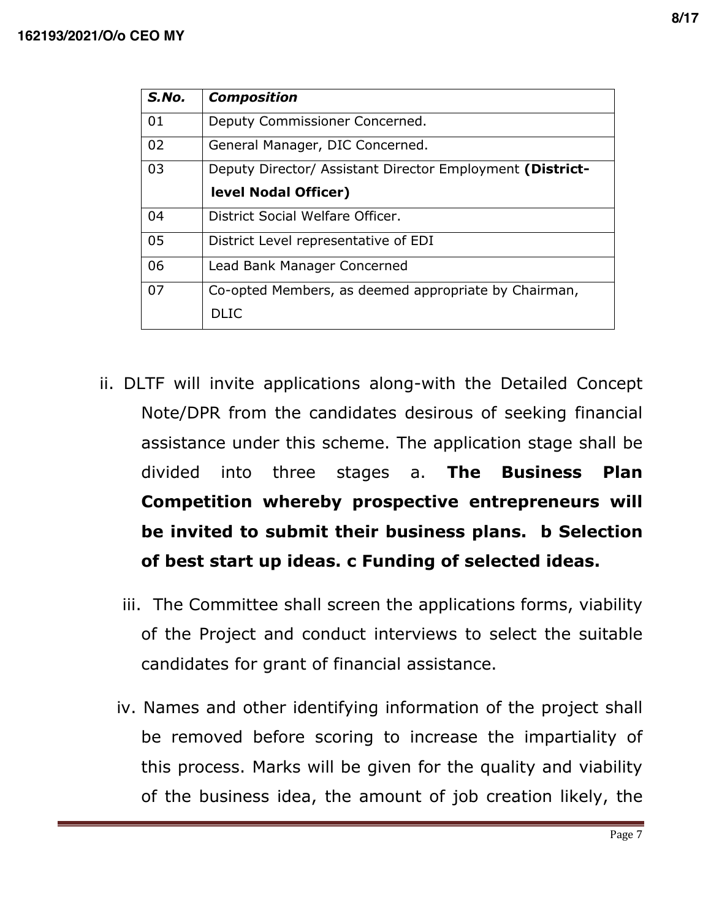| S.No. | <b>Composition</b>                                        |  |
|-------|-----------------------------------------------------------|--|
| 01    | Deputy Commissioner Concerned.                            |  |
| 02    | General Manager, DIC Concerned.                           |  |
| 03    | Deputy Director/ Assistant Director Employment (District- |  |
|       | level Nodal Officer)                                      |  |
| 04    | District Social Welfare Officer.                          |  |
| 05    | District Level representative of EDI                      |  |
| 06    | Lead Bank Manager Concerned                               |  |
| 07    | Co-opted Members, as deemed appropriate by Chairman,      |  |
|       | DI TC                                                     |  |
|       |                                                           |  |

- ii. DLTF will invite applications along-with the Detailed Concept Note/DPR from the candidates desirous of seeking financial assistance under this scheme. The application stage shall be divided into three stages a. **The Business Plan Competition whereby prospective entrepreneurs will be invited to submit their business plans. b Selection of best start up ideas. c Funding of selected ideas.** 
	- iii. The Committee shall screen the applications forms, viability of the Project and conduct interviews to select the suitable candidates for grant of financial assistance.
	- iv. Names and other identifying information of the project shall be removed before scoring to increase the impartiality of this process. Marks will be given for the quality and viability of the business idea, the amount of job creation likely, the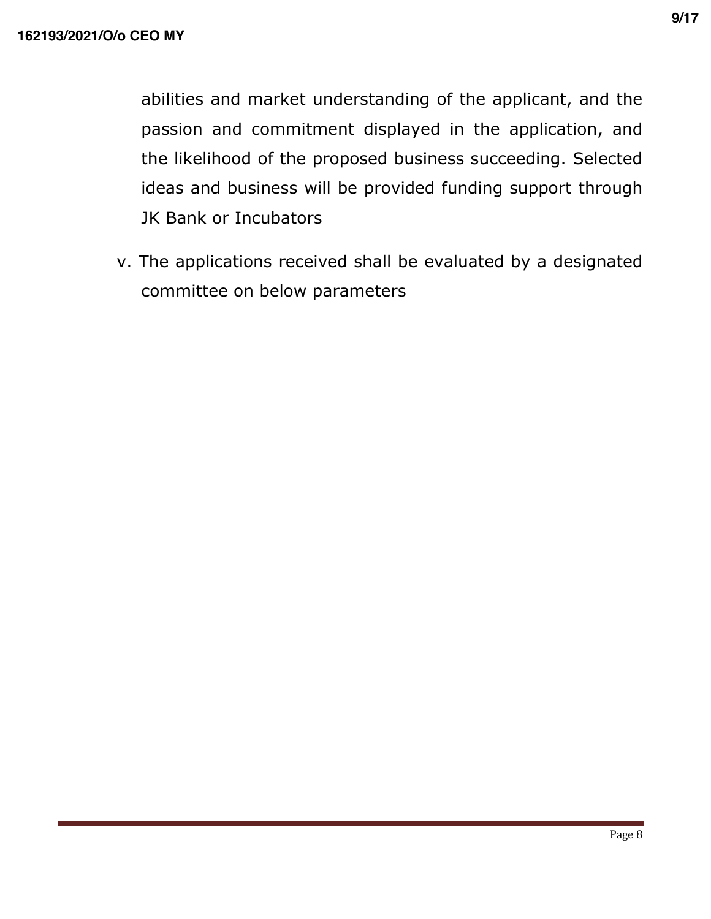abilities and market understanding of the applicant, and the passion and commitment displayed in the application, and the likelihood of the proposed business succeeding. Selected ideas and business will be provided funding support through JK Bank or Incubators

 v. The applications received shall be evaluated by a designated committee on below parameters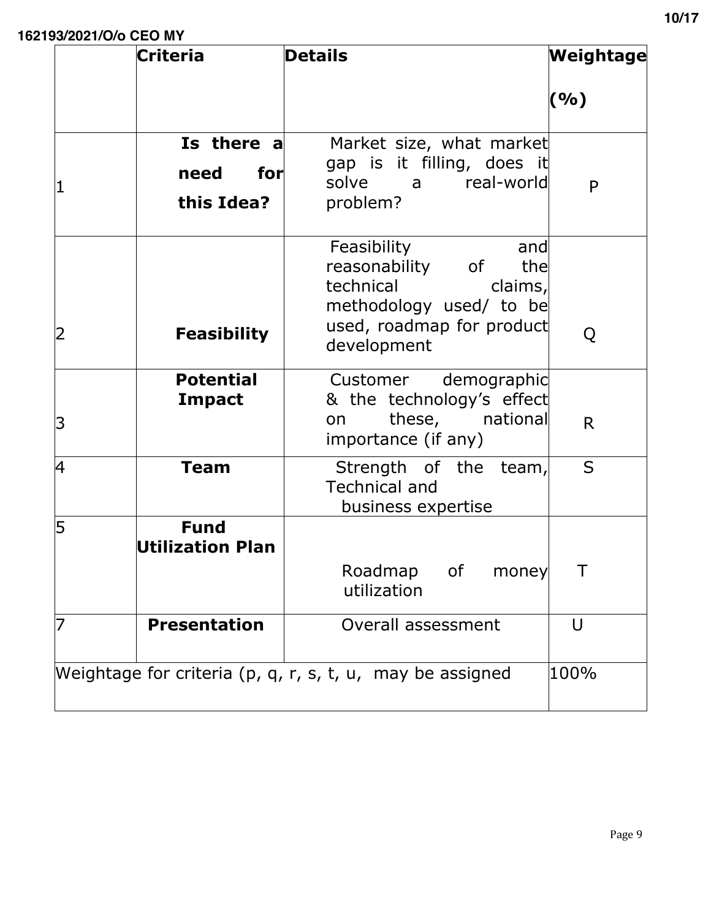|             | <b>Criteria</b>                         | <b>Details</b>                                                                                                                               | Weightage |
|-------------|-----------------------------------------|----------------------------------------------------------------------------------------------------------------------------------------------|-----------|
|             |                                         |                                                                                                                                              | (%)       |
| $\mathbf 1$ | Is there a<br>for<br>need<br>this Idea? | Market size, what market<br>gap is it filling, does it<br>solve a real-world<br>problem?                                                     | P         |
| 2           | <b>Feasibility</b>                      | Feasibility<br>and<br>reasonability of<br>the<br>technical<br>claims,<br>methodology used/ to be<br>used, roadmap for product<br>development | Q         |
| 3           | <b>Potential</b><br><b>Impact</b>       | Customer demographic<br>& the technology's effect<br>these, national<br>on<br>importance (if any)                                            | R.        |
| 4           | <b>Team</b>                             | Strength of the team,<br><b>Technical and</b><br>business expertise                                                                          | S         |
| 5           | <b>Fund</b><br>Utilization Plan         | Roadmap<br>0f<br>money<br>utilization                                                                                                        |           |
|             | <b>Presentation</b>                     | Overall assessment                                                                                                                           | $\cup$    |
|             |                                         | Weightage for criteria (p, q, r, s, t, u, may be assigned                                                                                    | 100%      |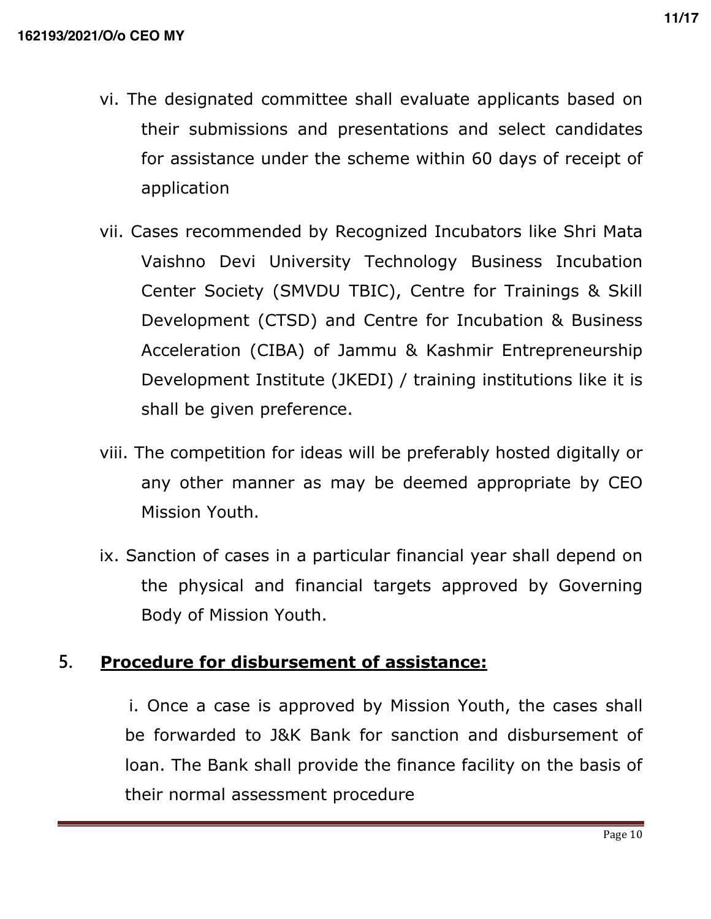- vi. The designated committee shall evaluate applicants based on their submissions and presentations and select candidates for assistance under the scheme within 60 days of receipt of application
- vii. Cases recommended by Recognized Incubators like Shri Mata Vaishno Devi University Technology Business Incubation Center Society (SMVDU TBIC), Centre for Trainings & Skill Development (CTSD) and Centre for Incubation & Business Acceleration (CIBA) of Jammu & Kashmir Entrepreneurship Development Institute (JKEDI) / training institutions like it is shall be given preference.
- viii. The competition for ideas will be preferably hosted digitally or any other manner as may be deemed appropriate by CEO Mission Youth.
- ix. Sanction of cases in a particular financial year shall depend on the physical and financial targets approved by Governing Body of Mission Youth.

# **5. Procedure for disbursement of assistance:**

 i. Once a case is approved by Mission Youth, the cases shall be forwarded to J&K Bank for sanction and disbursement of loan. The Bank shall provide the finance facility on the basis of their normal assessment procedure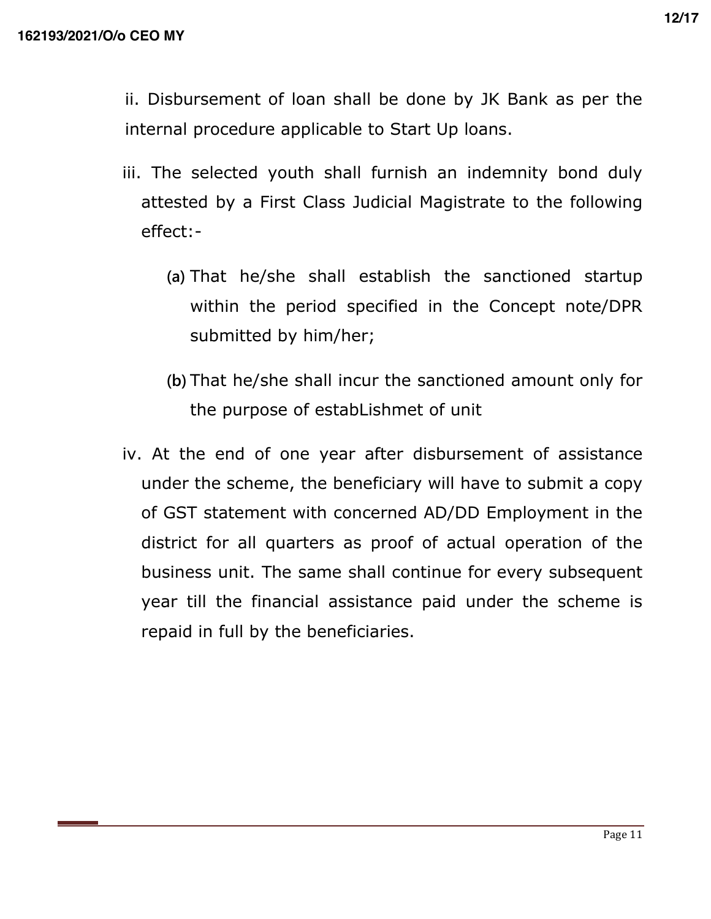ii. Disbursement of loan shall be done by JK Bank as per the internal procedure applicable to Start Up loans.

- iii. The selected youth shall furnish an indemnity bond duly attested by a First Class Judicial Magistrate to the following effect:-
	- **(a)** That he/she shall establish the sanctioned startup within the period specified in the Concept note/DPR submitted by him/her;
	- **(b)** That he/she shall incur the sanctioned amount only for the purpose of estabLishmet of unit
- iv. At the end of one year after disbursement of assistance under the scheme, the beneficiary will have to submit a copy of GST statement with concerned AD/DD Employment in the district for all quarters as proof of actual operation of the business unit. The same shall continue for every subsequent year till the financial assistance paid under the scheme is repaid in full by the beneficiaries.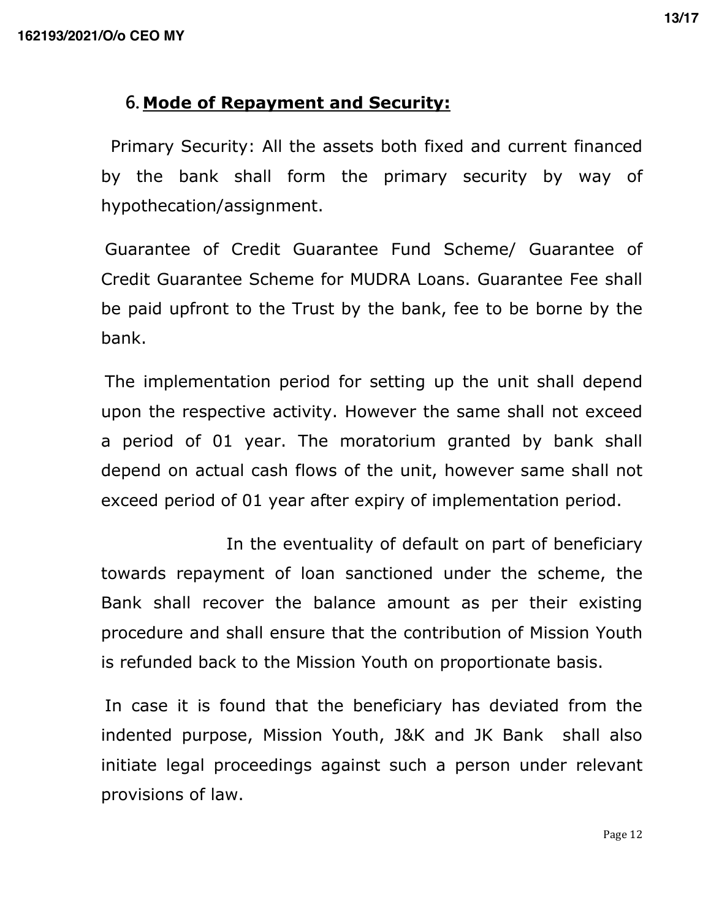# **6. Mode of Repayment and Security:**

 Primary Security: All the assets both fixed and current financed by the bank shall form the primary security by way of hypothecation/assignment.

 Guarantee of Credit Guarantee Fund Scheme/ Guarantee of Credit Guarantee Scheme for MUDRA Loans. Guarantee Fee shall be paid upfront to the Trust by the bank, fee to be borne by the bank.

 The implementation period for setting up the unit shall depend upon the respective activity. However the same shall not exceed a period of 01 year. The moratorium granted by bank shall depend on actual cash flows of the unit, however same shall not exceed period of 01 year after expiry of implementation period.

 In the eventuality of default on part of beneficiary towards repayment of loan sanctioned under the scheme, the Bank shall recover the balance amount as per their existing procedure and shall ensure that the contribution of Mission Youth is refunded back to the Mission Youth on proportionate basis.

 In case it is found that the beneficiary has deviated from the indented purpose, Mission Youth, J&K and JK Bank shall also initiate legal proceedings against such a person under relevant provisions of law.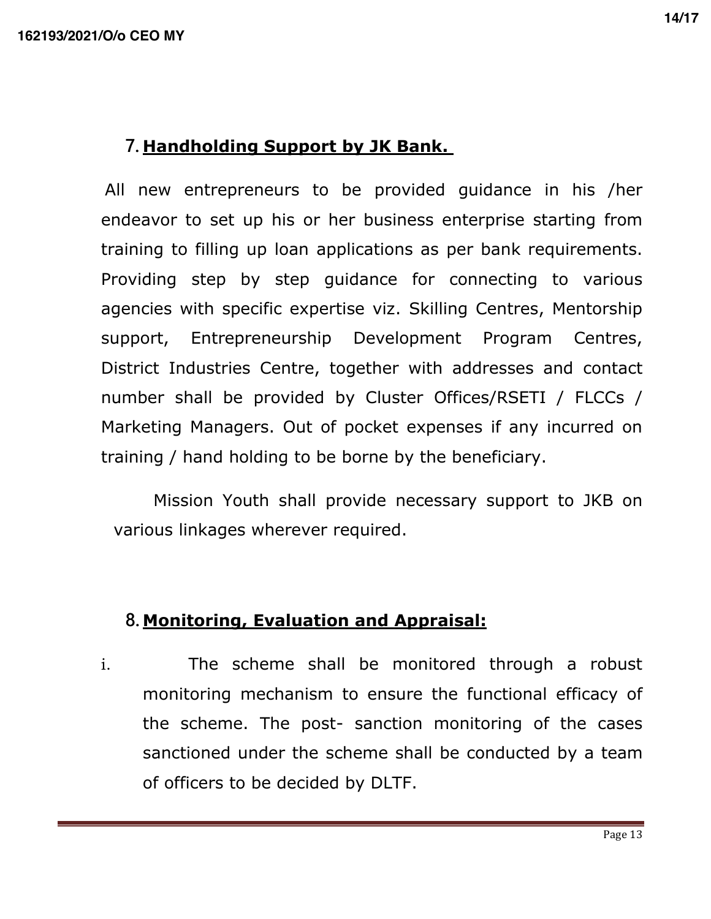# **7. Handholding Support by JK Bank.**

 All new entrepreneurs to be provided guidance in his /her endeavor to set up his or her business enterprise starting from training to filling up loan applications as per bank requirements. Providing step by step guidance for connecting to various agencies with specific expertise viz. Skilling Centres, Mentorship support, Entrepreneurship Development Program Centres, District Industries Centre, together with addresses and contact number shall be provided by Cluster Offices/RSETI / FLCCs / Marketing Managers. Out of pocket expenses if any incurred on training / hand holding to be borne by the beneficiary.

 Mission Youth shall provide necessary support to JKB on various linkages wherever required.

# **8. Monitoring, Evaluation and Appraisal:**

i. The scheme shall be monitored through a robust monitoring mechanism to ensure the functional efficacy of the scheme. The post- sanction monitoring of the cases sanctioned under the scheme shall be conducted by a team of officers to be decided by DLTF.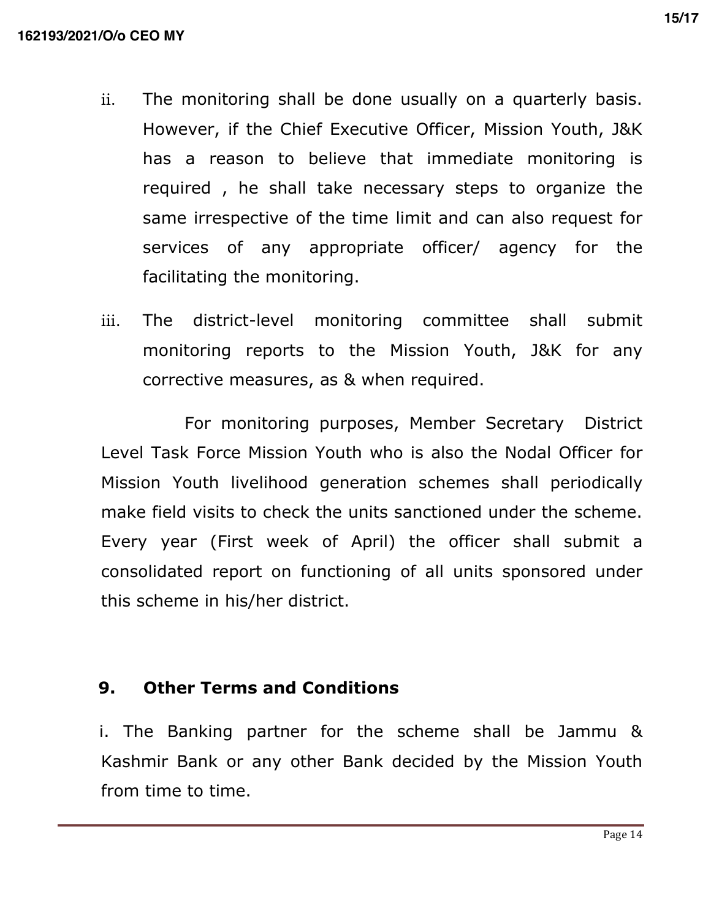- ii. The monitoring shall be done usually on a quarterly basis. However, if the Chief Executive Officer, Mission Youth, J&K has a reason to believe that immediate monitoring is required , he shall take necessary steps to organize the same irrespective of the time limit and can also request for services of any appropriate officer/ agency for the facilitating the monitoring.
- iii. The district-level monitoring committee shall submit monitoring reports to the Mission Youth, J&K for any corrective measures, as & when required.

 For monitoring purposes, Member Secretary District Level Task Force Mission Youth who is also the Nodal Officer for Mission Youth livelihood generation schemes shall periodically make field visits to check the units sanctioned under the scheme. Every year (First week of April) the officer shall submit a consolidated report on functioning of all units sponsored under this scheme in his/her district.

#### **9. Other Terms and Conditions**

 i. The Banking partner for the scheme shall be Jammu & Kashmir Bank or any other Bank decided by the Mission Youth from time to time.